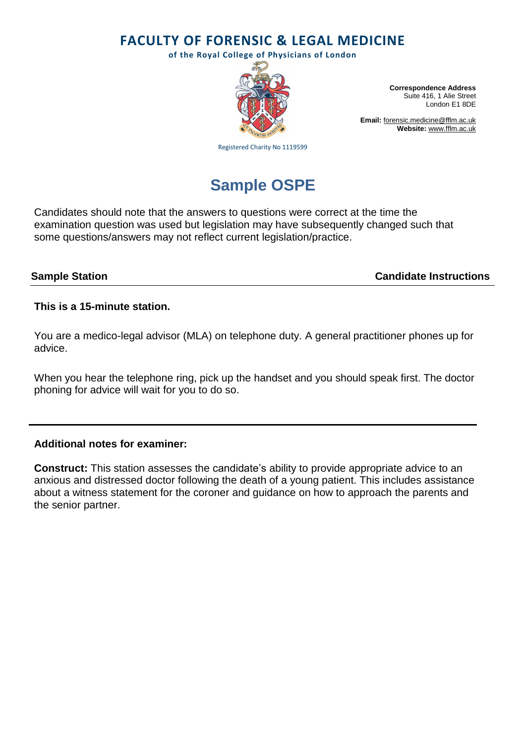**FACULTY OF FORENSIC & LEGAL MEDICINE**

**of the Royal College of Physicians of London**



**Correspondence Address** Suite 416, 1 Alie Street London E1 8DE

**Email:** [forensic.medicine@fflm.ac.uk](mailto:forensic.medicine@fflm.ac.uk) **Website:** [www.fflm.ac.uk](http://www.fflm.ac.uk/)

Registered Charity No 1119599

# **Sample OSPE**

Candidates should note that the answers to questions were correct at the time the examination question was used but legislation may have subsequently changed such that some questions/answers may not reflect current legislation/practice.

**Sample Station Candidate Instructions**

# **This is a 15-minute station.**

You are a medico-legal advisor (MLA) on telephone duty. A general practitioner phones up for advice.

When you hear the telephone ring, pick up the handset and you should speak first. The doctor phoning for advice will wait for you to do so.

# **Additional notes for examiner:**

**Construct:** This station assesses the candidate's ability to provide appropriate advice to an anxious and distressed doctor following the death of a young patient. This includes assistance about a witness statement for the coroner and guidance on how to approach the parents and the senior partner.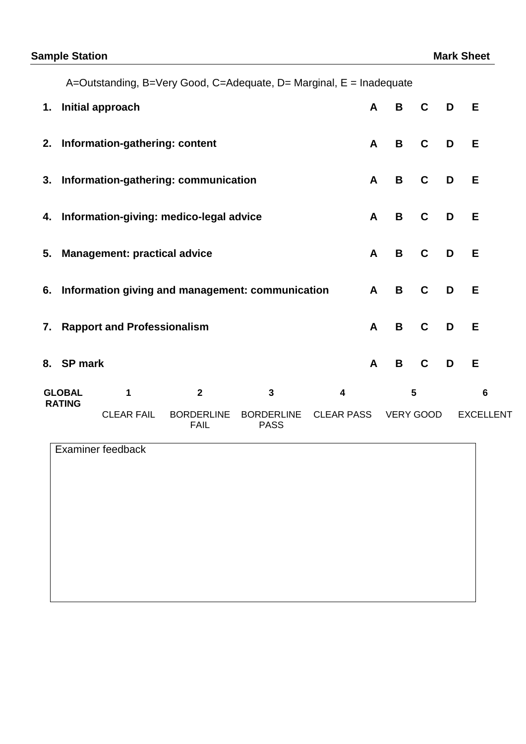A=Outstanding, B=Very Good, C=Adequate, D= Marginal, E = Inadequate

|                                | 1. Initial approach                                 |                   |                                  |                                  |                   | $\mathsf{A}$ | B                | $\mathbf{C}$ | $\blacksquare$ | Е                |  |
|--------------------------------|-----------------------------------------------------|-------------------|----------------------------------|----------------------------------|-------------------|--------------|------------------|--------------|----------------|------------------|--|
|                                | 2. Information-gathering: content                   |                   |                                  |                                  |                   | $\mathsf{A}$ | B                | $\mathbf{C}$ | D              | E                |  |
|                                | 3. Information-gathering: communication             |                   |                                  |                                  |                   | $\mathbf{A}$ | B                | C            | D              | Е                |  |
|                                | 4. Information-giving: medico-legal advice          |                   |                                  |                                  |                   |              | B                | C            | D              | Е                |  |
|                                | 5. Management: practical advice                     |                   |                                  |                                  |                   |              | B                | $\mathbf{C}$ | D              | E                |  |
|                                | 6. Information giving and management: communication |                   |                                  |                                  |                   |              | B                | $\mathbf C$  | D              | E.               |  |
| 7. Rapport and Professionalism |                                                     |                   |                                  |                                  |                   | $\mathsf{A}$ | B                | $\mathbf{C}$ | D              | E                |  |
|                                | 8. SP mark                                          |                   |                                  |                                  |                   |              | B                | $\mathbf{C}$ | D              | E                |  |
| <b>GLOBAL</b><br><b>RATING</b> |                                                     | 1                 | $\overline{2}$                   | $\mathbf{3}$                     | 4                 |              | 5                |              |                | $6\phantom{1}6$  |  |
|                                |                                                     | <b>CLEAR FAIL</b> | <b>BORDERLINE</b><br><b>FAIL</b> | <b>BORDERLINE</b><br><b>PASS</b> | <b>CLEAR PASS</b> |              | <b>VERY GOOD</b> |              |                | <b>EXCELLENT</b> |  |

Examiner feedback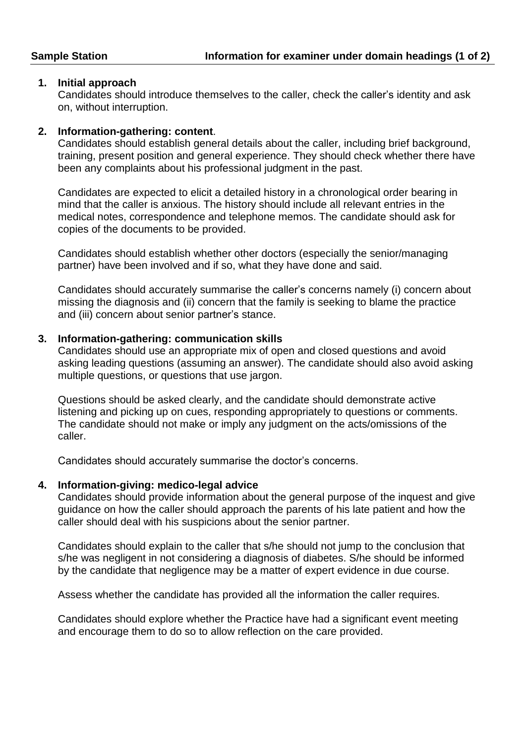# **1. Initial approach**

Candidates should introduce themselves to the caller, check the caller's identity and ask on, without interruption.

# **2. Information-gathering: content**.

Candidates should establish general details about the caller, including brief background, training, present position and general experience. They should check whether there have been any complaints about his professional judgment in the past.

Candidates are expected to elicit a detailed history in a chronological order bearing in mind that the caller is anxious. The history should include all relevant entries in the medical notes, correspondence and telephone memos. The candidate should ask for copies of the documents to be provided.

Candidates should establish whether other doctors (especially the senior/managing partner) have been involved and if so, what they have done and said.

Candidates should accurately summarise the caller's concerns namely (i) concern about missing the diagnosis and (ii) concern that the family is seeking to blame the practice and (iii) concern about senior partner's stance.

### **3. Information-gathering: communication skills**

Candidates should use an appropriate mix of open and closed questions and avoid asking leading questions (assuming an answer). The candidate should also avoid asking multiple questions, or questions that use jargon.

Questions should be asked clearly, and the candidate should demonstrate active listening and picking up on cues, responding appropriately to questions or comments. The candidate should not make or imply any judgment on the acts/omissions of the caller.

Candidates should accurately summarise the doctor's concerns.

#### **4. Information-giving: medico-legal advice**

Candidates should provide information about the general purpose of the inquest and give guidance on how the caller should approach the parents of his late patient and how the caller should deal with his suspicions about the senior partner.

Candidates should explain to the caller that s/he should not jump to the conclusion that s/he was negligent in not considering a diagnosis of diabetes. S/he should be informed by the candidate that negligence may be a matter of expert evidence in due course.

Assess whether the candidate has provided all the information the caller requires.

Candidates should explore whether the Practice have had a significant event meeting and encourage them to do so to allow reflection on the care provided.